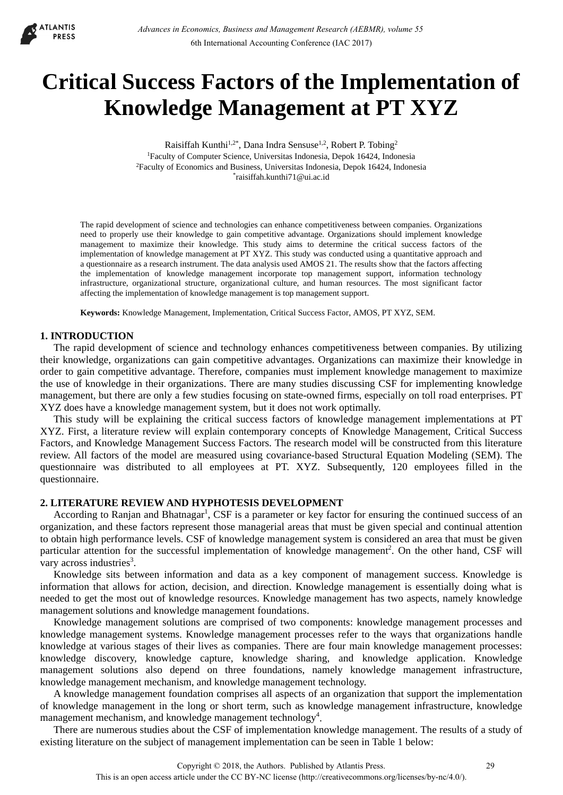

# **Critical Success Factors of the Implementation of Knowledge Management at PT XYZ**

Raisiffah Kunthi<sup>1,2\*</sup>, Dana Indra Sensuse<sup>1,2</sup>, Robert P. Tobing<sup>2</sup> 1Faculty of Computer Science, Universitas Indonesia, Depok 16424, Indonesia 2Faculty of Economics and Business, Universitas Indonesia, Depok 16424, Indonesia \*raisiffah.kunthi71@ui.ac.id

The rapid development of science and technologies can enhance competitiveness between companies. Organizations need to properly use their knowledge to gain competitive advantage. Organizations should implement knowledge management to maximize their knowledge. This study aims to determine the critical success factors of the implementation of knowledge management at PT XYZ. This study was conducted using a quantitative approach and a questionnaire as a research instrument. The data analysis used AMOS 21. The results show that the factors affecting the implementation of knowledge management incorporate top management support, information technology infrastructure, organizational structure, organizational culture, and human resources. The most significant factor affecting the implementation of knowledge management is top management support.

**Keywords:** Knowledge Management, Implementation, Critical Success Factor, AMOS, PT XYZ, SEM.

## **1. INTRODUCTION**

The rapid development of science and technology enhances competitiveness between companies. By utilizing their knowledge, organizations can gain competitive advantages. Organizations can maximize their knowledge in order to gain competitive advantage. Therefore, companies must implement knowledge management to maximize the use of knowledge in their organizations. There are many studies discussing CSF for implementing knowledge management, but there are only a few studies focusing on state-owned firms, especially on toll road enterprises. PT XYZ does have a knowledge management system, but it does not work optimally.

This study will be explaining the critical success factors of knowledge management implementations at PT XYZ. First, a literature review will explain contemporary concepts of Knowledge Management, Critical Success Factors, and Knowledge Management Success Factors. The research model will be constructed from this literature review. All factors of the model are measured using covariance-based Structural Equation Modeling (SEM). The questionnaire was distributed to all employees at PT. XYZ. Subsequently, 120 employees filled in the questionnaire.

# **2. LITERATURE REVIEW AND HYPHOTESIS DEVELOPMENT**

According to Ranjan and Bhatnagar<sup>1</sup>, CSF is a parameter or key factor for ensuring the continued success of an organization, and these factors represent those managerial areas that must be given special and continual attention to obtain high performance levels. CSF of knowledge management system is considered an area that must be given particular attention for the successful implementation of knowledge management<sup>2</sup>. On the other hand, CSF will vary across industries<sup>3</sup>.

Knowledge sits between information and data as a key component of management success. Knowledge is information that allows for action, decision, and direction. Knowledge management is essentially doing what is needed to get the most out of knowledge resources. Knowledge management has two aspects, namely knowledge management solutions and knowledge management foundations.

Knowledge management solutions are comprised of two components: knowledge management processes and knowledge management systems. Knowledge management processes refer to the ways that organizations handle knowledge at various stages of their lives as companies. There are four main knowledge management processes: knowledge discovery, knowledge capture, knowledge sharing, and knowledge application. Knowledge management solutions also depend on three foundations, namely knowledge management infrastructure, knowledge management mechanism, and knowledge management technology.

A knowledge management foundation comprises all aspects of an organization that support the implementation of knowledge management in the long or short term, such as knowledge management infrastructure, knowledge management mechanism, and knowledge management technology<sup>4</sup>.

There are numerous studies about the CSF of implementation knowledge management. The results of a study of existing literature on the subject of management implementation can be seen in Table 1 below: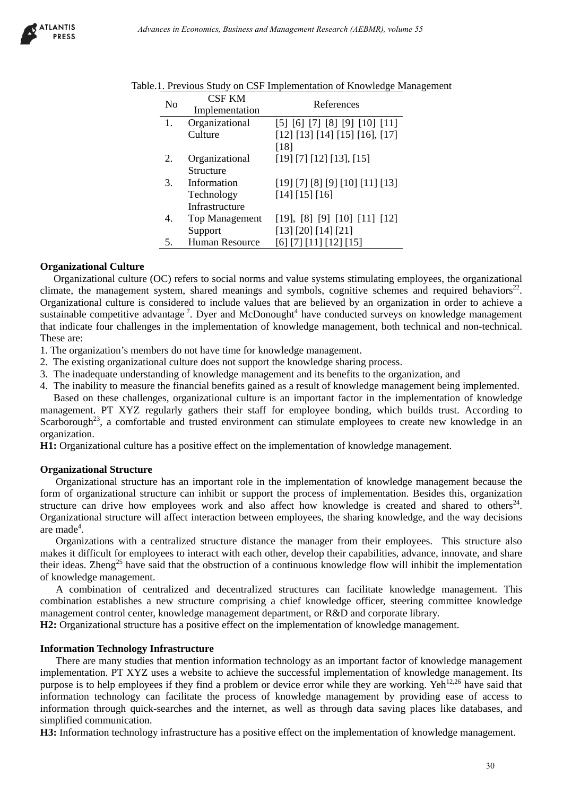

| N <sub>o</sub> | <b>CSF KM</b>                               | References                                                                                                                                                                                                                                                                                                                                                                                                                                          |
|----------------|---------------------------------------------|-----------------------------------------------------------------------------------------------------------------------------------------------------------------------------------------------------------------------------------------------------------------------------------------------------------------------------------------------------------------------------------------------------------------------------------------------------|
| 1.             | Implementation<br>Organizational<br>Culture | [5] [6] [7] [8] [9] [10] [11]<br>[12] [13] [14] [15] [16], [17]                                                                                                                                                                                                                                                                                                                                                                                     |
| 2.             | Organizational                              | $[18]$<br>[19] [7] [12] [13], [15]                                                                                                                                                                                                                                                                                                                                                                                                                  |
| 3.             | Structure<br>Information                    | [19] [7] [8] [9] [10] [11] [13]                                                                                                                                                                                                                                                                                                                                                                                                                     |
|                | Technology                                  | [14] [15] [16]                                                                                                                                                                                                                                                                                                                                                                                                                                      |
| 4.             | Infrastructure<br>Top Management            | [19], [8] [9] [10] [11] [12]                                                                                                                                                                                                                                                                                                                                                                                                                        |
| 5.             | Support<br>Human Resource                   | [13] [20] [14] [21]<br>[6] [7] [11] [12] [15]                                                                                                                                                                                                                                                                                                                                                                                                       |
|                |                                             | embers do not have time for knowledge management.                                                                                                                                                                                                                                                                                                                                                                                                   |
|                |                                             | enges in the implementation of knowledge management, both technical and non-tec<br>ational culture does not support the knowledge sharing process.<br>erstanding of knowledge management and its benefits to the organization, and<br>sure the financial benefits gained as a result of knowledge management being implem                                                                                                                           |
|                |                                             | llenges, organizational culture is an important factor in the implementation of kno<br>I regularly gathers their staff for employee bonding, which builds trust. Accord<br>ortable and trusted environment can stimulate employees to create new knowledge                                                                                                                                                                                          |
|                |                                             | ture has a positive effect on the implementation of knowledge management.                                                                                                                                                                                                                                                                                                                                                                           |
| ure            |                                             | cture has an important role in the implementation of knowledge management becau<br>structure can inhibit or support the process of implementation. Besides this, organ<br>w employees work and also affect how knowledge is created and shared to o<br>e will affect interaction between employees, the sharing knowledge, and the way de                                                                                                           |
| ent.           |                                             | a centralized structure distance the manager from their employees. This structure<br>imployees to interact with each other, develop their capabilities, advance, innovate, and<br>ve said that the obstruction of a continuous knowledge flow will inhibit the impleme                                                                                                                                                                              |
|                |                                             | centralized and decentralized structures can facilitate knowledge management<br>s a new structure comprising a chief knowledge officer, steering committee know<br>nter, knowledge management department, or R&D and corporate library.<br>cture has a positive effect on the implementation of knowledge management.                                                                                                                               |
| ion.           | gy Infrastructure                           | dies that mention information technology as an important factor of knowledge manag<br>7Z uses a website to achieve the successful implementation of knowledge managem<br>loyees if they find a problem or device error while they are working. Yeh <sup>12,26</sup> have sale<br>can facilitate the process of knowledge management by providing ease of acc<br>uick-searches and the internet, as well as through data saving places like database |
|                |                                             | logy infrastructure has a positive effect on the implementation of knowledge manager                                                                                                                                                                                                                                                                                                                                                                |
|                |                                             |                                                                                                                                                                                                                                                                                                                                                                                                                                                     |

|  |  | Table.1. Previous Study on CSF Implementation of Knowledge Management |  |  |
|--|--|-----------------------------------------------------------------------|--|--|
|  |  |                                                                       |  |  |

## **Organizational Culture**

Organizational culture (OC) refers to social norms and value systems stimulating employees, the organizational climate, the management system, shared meanings and symbols, cognitive schemes and required behaviors<sup>22</sup>. Organizational culture is considered to include values that are believed by an organization in order to achieve a sustainable competitive advantage<sup>7</sup>. Dyer and McDonought<sup>4</sup> have conducted surveys on knowledge management that indicate four challenges in the implementation of knowledge management, both technical and non-technical. These are:

1. The organization's members do not have time for knowledge management.

- 2. The existing organizational culture does not support the knowledge sharing process.
- 3. The inadequate understanding of knowledge management and its benefits to the organization, and
- 4. The inability to measure the financial benefits gained as a result of knowledge management being implemented.

Based on these challenges, organizational culture is an important factor in the implementation of knowledge management. PT XYZ regularly gathers their staff for employee bonding, which builds trust. According to Scarborough<sup>23</sup>, a comfortable and trusted environment can stimulate employees to create new knowledge in an organization.

**H1:** Organizational culture has a positive effect on the implementation of knowledge management.

## **Organizational Structure**

Organizational structure has an important role in the implementation of knowledge management because the form of organizational structure can inhibit or support the process of implementation. Besides this, organization structure can drive how employees work and also affect how knowledge is created and shared to others<sup>24</sup>. Organizational structure will affect interaction between employees, the sharing knowledge, and the way decisions are made<sup>4</sup>.

Organizations with a centralized structure distance the manager from their employees. This structure also makes it difficult for employees to interact with each other, develop their capabilities, advance, innovate, and share their ideas. Zheng<sup>25</sup> have said that the obstruction of a continuous knowledge flow will inhibit the implementation of knowledge management.

A combination of centralized and decentralized structures can facilitate knowledge management. This combination establishes a new structure comprising a chief knowledge officer, steering committee knowledge management control center, knowledge management department, or R&D and corporate library.

**H2:** Organizational structure has a positive effect on the implementation of knowledge management.

## **Information Technology Infrastructure**

There are many studies that mention information technology as an important factor of knowledge management implementation. PT XYZ uses a website to achieve the successful implementation of knowledge management. Its purpose is to help employees if they find a problem or device error while they are working. Yeh<sup>12,26</sup> have said that information technology can facilitate the process of knowledge management by providing ease of access to information through quick-searches and the internet, as well as through data saving places like databases, and simplified communication.

**H3:** Information technology infrastructure has a positive effect on the implementation of knowledge management.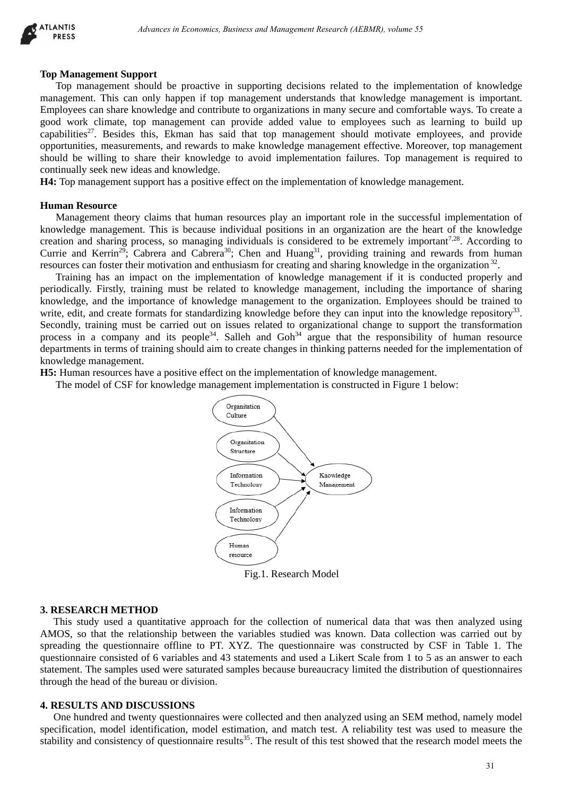

#### **Top Management Support**

Top management should be proactive in supporting decisions related to the implementation of knowledge management. This can only happen if top management understands that knowledge management is important. Employees can share knowledge and contribute to organizations in many secure and comfortable ways. To create a good work climate, top management can provide added value to employees such as learning to build up capabilities<sup>27</sup>. Besides this, Ekman has said that top management should motivate employees, and provide opportunities, measurements, and rewards to make knowledge management effective. Moreover, top management should be willing to share their knowledge to avoid implementation failures. Top management is required to continually seek new ideas and knowledge. Advances in Economics, Busines and Management Research (AEBMR), volume 53<br>
both the procedure in supporting decisions related to the implementation of Koor<br>
only happen if top management to negarch and convertibule to equi

**H4:** Top management support has a positive effect on the implementation of knowledge management.

#### **Human Resource**

Management theory claims that human resources play an important role in the successful implementation of knowledge management. This is because individual positions in an organization are the heart of the knowledge creation and sharing process, so managing individuals is considered to be extremely important<sup>7,28</sup>. According to Currie and Kerrin<sup>29</sup>; Cabrera and Cabrera<sup>30</sup>; Chen and Huang<sup>31</sup>, providing training and rewards from human resources can foster their motivation and enthusiasm for creating and sharing knowledge in the organization 32.

Training has an impact on the implementation of knowledge management if it is conducted properly and periodically. Firstly, training must be related to knowledge management, including the importance of sharing knowledge, and the importance of knowledge management to the organization. Employees should be trained to write, edit, and create formats for standardizing knowledge before they can input into the knowledge repository<sup>33</sup>. Secondly, training must be carried out on issues related to organizational change to support the transformation process in a company and its people<sup>34</sup>. Salleh and  $Goh<sup>34</sup>$  argue that the responsibility of human resource departments in terms of training should aim to create changes in thinking patterns needed for the implementation of knowledge management.

**H5:** Human resources have a positive effect on the implementation of knowledge management.

The model of CSF for knowledge management implementation is constructed in Figure 1 below:



Fig.1. Research Model

#### **3. RESEARCH METHOD**

This study used a quantitative approach for the collection of numerical data that was then analyzed using AMOS, so that the relationship between the variables studied was known. Data collection was carried out by spreading the questionnaire offline to PT. XYZ. The questionnaire was constructed by CSF in Table 1. The questionnaire consisted of 6 variables and 43 statements and used a Likert Scale from 1 to 5 as an answer to each statement. The samples used were saturated samples because bureaucracy limited the distribution of questionnaires through the head of the bureau or division.

#### **4. RESULTS AND DISCUSSIONS**

One hundred and twenty questionnaires were collected and then analyzed using an SEM method, namely model specification, model identification, model estimation, and match test. A reliability test was used to measure the stability and consistency of questionnaire results $35$ . The result of this test showed that the research model meets the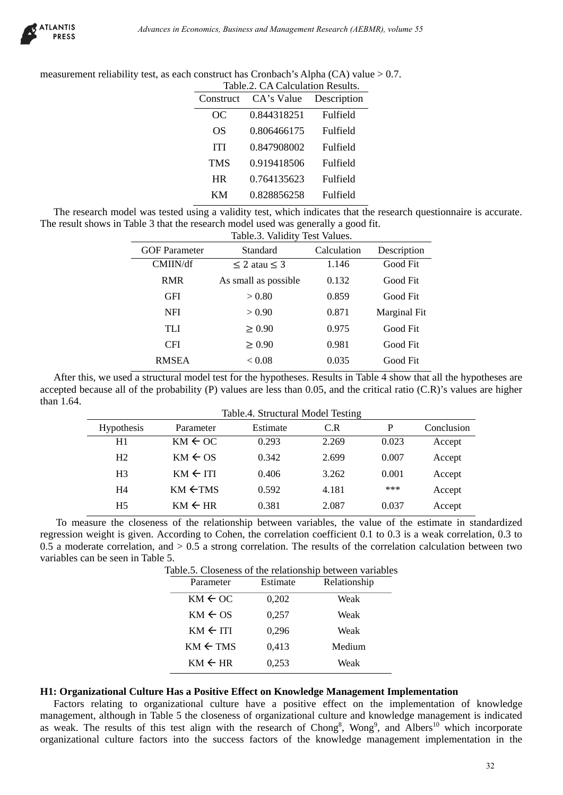

measurement reliability test, as each construct has Cronbach's Alpha (CA) value > 0.7. Table 2. CA Calculation Results.

| Table.2. CA Calculation Results. |                 |
|----------------------------------|-----------------|
| CA's Value                       | Description     |
| 0.844318251                      | Fulfield        |
| 0.806466175                      | Fulfield        |
| 0.847908002                      | Fulfield        |
| 0.919418506                      | Fulfield        |
| 0.764135623                      | Fulfield        |
| 0.828856258                      | <b>Fulfield</b> |
|                                  |                 |

The research model was tested using a validity test, which indicates that the research questionnaire is accurate. The result shows in Table 3 that the research model used was generally a good fit.

|                                          | <b>OC</b><br><b>OS</b><br><b>ITI</b><br><b>TMS</b> | 0.844318251<br>0.806466175                                                                                                                                                                                                                                                                                                                            | Fulfield       |                |                  |
|------------------------------------------|----------------------------------------------------|-------------------------------------------------------------------------------------------------------------------------------------------------------------------------------------------------------------------------------------------------------------------------------------------------------------------------------------------------------|----------------|----------------|------------------|
|                                          |                                                    |                                                                                                                                                                                                                                                                                                                                                       |                |                |                  |
|                                          |                                                    |                                                                                                                                                                                                                                                                                                                                                       | Fulfield       |                |                  |
|                                          |                                                    | 0.847908002                                                                                                                                                                                                                                                                                                                                           | Fulfield       |                |                  |
|                                          |                                                    | 0.919418506                                                                                                                                                                                                                                                                                                                                           | Fulfield       |                |                  |
|                                          | <b>HR</b>                                          | 0.764135623                                                                                                                                                                                                                                                                                                                                           | Fulfield       |                |                  |
|                                          | KM                                                 | 0.828856258                                                                                                                                                                                                                                                                                                                                           | Fulfield       |                |                  |
|                                          |                                                    | el was tested using a validity test, which indicates that the research questionnaire is ac<br>able 3 that the research model used was generally a good fit.<br>Table.3. Validity Test Values.                                                                                                                                                         |                |                |                  |
| <b>GOF Parameter</b>                     |                                                    | Standard                                                                                                                                                                                                                                                                                                                                              | Calculation    | Description    |                  |
| CMIIN/df                                 |                                                    | $\leq$ 2 atau $\leq$ 3                                                                                                                                                                                                                                                                                                                                | 1.146          | Good Fit       |                  |
| <b>RMR</b>                               |                                                    | As small as possible                                                                                                                                                                                                                                                                                                                                  | 0.132          | Good Fit       |                  |
| <b>GFI</b>                               |                                                    | > 0.80                                                                                                                                                                                                                                                                                                                                                | 0.859          | Good Fit       |                  |
| <b>NFI</b>                               |                                                    | > 0.90                                                                                                                                                                                                                                                                                                                                                | 0.871          | Marginal Fit   |                  |
| <b>TLI</b>                               |                                                    | $\geq 0.90$                                                                                                                                                                                                                                                                                                                                           | 0.975          | Good Fit       |                  |
|                                          |                                                    |                                                                                                                                                                                                                                                                                                                                                       | 0.981          | Good Fit       |                  |
| <b>CFI</b>                               |                                                    | $\geq 0.90$                                                                                                                                                                                                                                                                                                                                           |                |                |                  |
| <b>RMSEA</b>                             |                                                    | < 0.08<br>1 a structural model test for the hypotheses. Results in Table 4 show that all the hypothe<br>of the probability $(P)$ values are less than 0.05, and the critical ratio $(C.R)$ 's values are<br>Table.4. Structural Model Testing                                                                                                         | 0.035          | Good Fit       |                  |
|                                          |                                                    |                                                                                                                                                                                                                                                                                                                                                       |                |                |                  |
| Parameter                                |                                                    | Estimate                                                                                                                                                                                                                                                                                                                                              | C.R            | ${\bf P}$      | Conclusion       |
| $KM \leftarrow OC$<br>$KM \leftarrow OS$ |                                                    | 0.293<br>0.342                                                                                                                                                                                                                                                                                                                                        | 2.269<br>2.699 | 0.023<br>0.007 | Accept           |
| esis<br>$KM \leftarrow ITI$              |                                                    | 0.406                                                                                                                                                                                                                                                                                                                                                 | 3.262          | 0.001          | Accept<br>Accept |
| $KM \leftarrow TMS$                      |                                                    | 0.592                                                                                                                                                                                                                                                                                                                                                 | 4.181          | ***            |                  |
| $KM \leftarrow HR$                       |                                                    | 0.381                                                                                                                                                                                                                                                                                                                                                 | 2.087          | 0.037          | Accept<br>Accept |
| in Table 5.                              | Parameter                                          | closeness of the relationship between variables, the value of the estimate in standa<br>given. According to Cohen, the correlation coefficient 0.1 to 0.3 is a weak correlation,<br>ation, and $> 0.5$ a strong correlation. The results of the correlation calculation betwe<br>Table.5. Closeness of the relationship between variables<br>Estimate | Relationship   |                |                  |
|                                          | $KM \leftarrow OC$                                 | 0,202                                                                                                                                                                                                                                                                                                                                                 | Weak           |                |                  |
|                                          | $KM \leftarrow OS$                                 | 0,257                                                                                                                                                                                                                                                                                                                                                 | Weak           |                |                  |
|                                          | $KM \leftarrow ITI$                                | 0,296                                                                                                                                                                                                                                                                                                                                                 | Weak           |                |                  |
|                                          | $KM \leftarrow TMS$                                | 0,413                                                                                                                                                                                                                                                                                                                                                 | Medium         |                |                  |

After this, we used a structural model test for the hypotheses. Results in Table 4 show that all the hypotheses are accepted because all of the probability (P) values are less than 0.05, and the critical ratio (C.R)'s values are higher than 1.64. Table.4. Structural Model Testing

| Parameter           | Estimate | C.R   | P     | Conclusion                        |
|---------------------|----------|-------|-------|-----------------------------------|
| $KM \leftarrow OC$  | 0.293    | 2.269 | 0.023 | Accept                            |
| $KM \leftarrow OS$  | 0.342    | 2.699 | 0.007 | Accept                            |
| $KM \leftarrow ITI$ | 0.406    | 3.262 | 0.001 | Accept                            |
| $KM \leftarrow TMS$ | 0.592    | 4.181 | ***   | Accept                            |
| $KM \leftarrow HR$  | 0.381    | 2.087 | 0.037 | Accept                            |
|                     |          |       |       | Table.4. Structural Model Testing |

 To measure the closeness of the relationship between variables, the value of the estimate in standardized regression weight is given. According to Cohen, the correlation coefficient 0.1 to 0.3 is a weak correlation, 0.3 to 0.5 a moderate correlation, and  $> 0.5$  a strong correlation. The results of the correlation calculation between two variables can be seen in Table 5.

Table.5. Closeness of the relationship between variables

| Parameter           | Estimate | Relationship |
|---------------------|----------|--------------|
| $KM \leftarrow OC$  | 0,202    | Weak         |
| $KM \leftarrow OS$  | 0,257    | Weak         |
| $KM \leftarrow ITI$ | 0.296    | Weak         |
| $KM \leftarrow TMS$ | 0,413    | Medium       |
| $KM \leftarrow HR$  | 0,253    | Weak         |

## **H1: Organizational Culture Has a Positive Effect on Knowledge Management Implementation**

Factors relating to organizational culture have a positive effect on the implementation of knowledge management, although in Table 5 the closeness of organizational culture and knowledge management is indicated as weak. The results of this test align with the research of Chong<sup>8</sup>, Wong<sup>9</sup>, and Albers<sup>10</sup> which incorporate organizational culture factors into the success factors of the knowledge management implementation in the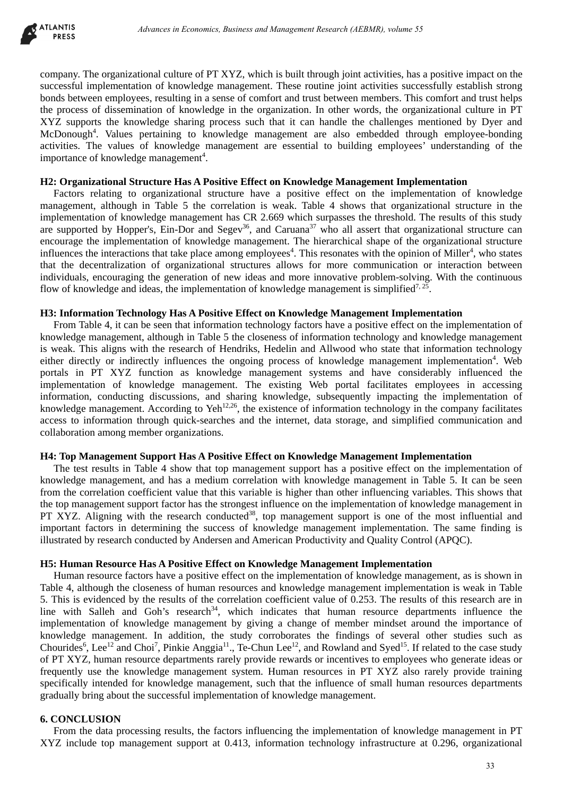

company. The organizational culture of PT XYZ, which is built through joint activities, has a positive impact on the successful implementation of knowledge management. These routine joint activities successfully establish strong bonds between employees, resulting in a sense of comfort and trust between members. This comfort and trust helps the process of dissemination of knowledge in the organization. In other words, the organizational culture in PT XYZ supports the knowledge sharing process such that it can handle the challenges mentioned by Dyer and McDonough<sup>4</sup>. Values pertaining to knowledge management are also embedded through employee-bonding activities. The values of knowledge management are essential to building employees' understanding of the importance of knowledge management<sup>4</sup>.

## **H2: Organizational Structure Has A Positive Effect on Knowledge Management Implementation**

Factors relating to organizational structure have a positive effect on the implementation of knowledge management, although in Table 5 the correlation is weak. Table 4 shows that organizational structure in the implementation of knowledge management has CR 2.669 which surpasses the threshold. The results of this study are supported by Hopper's, Ein-Dor and Segev<sup>36</sup>, and Caruana<sup>37</sup> who all assert that organizational structure can encourage the implementation of knowledge management. The hierarchical shape of the organizational structure influences the interactions that take place among employees<sup>4</sup>. This resonates with the opinion of Miller<sup>4</sup>, who states that the decentralization of organizational structures allows for more communication or interaction between individuals, encouraging the generation of new ideas and more innovative problem-solving. With the continuous flow of knowledge and ideas, the implementation of knowledge management is simplified<sup>7, 25</sup>.

## **H3: Information Technology Has A Positive Effect on Knowledge Management Implementation**

From Table 4, it can be seen that information technology factors have a positive effect on the implementation of knowledge management, although in Table 5 the closeness of information technology and knowledge management is weak. This aligns with the research of Hendriks, Hedelin and Allwood who state that information technology either directly or indirectly influences the ongoing process of knowledge management implementation<sup>4</sup>. Web portals in PT XYZ function as knowledge management systems and have considerably influenced the implementation of knowledge management. The existing Web portal facilitates employees in accessing information, conducting discussions, and sharing knowledge, subsequently impacting the implementation of knowledge management. According to Yeh<sup>12,26</sup>, the existence of information technology in the company facilitates access to information through quick-searches and the internet, data storage, and simplified communication and collaboration among member organizations.

## **H4: Top Management Support Has A Positive Effect on Knowledge Management Implementation**

The test results in Table 4 show that top management support has a positive effect on the implementation of knowledge management, and has a medium correlation with knowledge management in Table 5. It can be seen from the correlation coefficient value that this variable is higher than other influencing variables. This shows that the top management support factor has the strongest influence on the implementation of knowledge management in PT XYZ. Aligning with the research conducted<sup>38</sup>, top management support is one of the most influential and important factors in determining the success of knowledge management implementation. The same finding is illustrated by research conducted by Andersen and American Productivity and Quality Control (APQC).

## **H5: Human Resource Has A Positive Effect on Knowledge Management Implementation**

Human resource factors have a positive effect on the implementation of knowledge management, as is shown in Table 4, although the closeness of human resources and knowledge management implementation is weak in Table 5. This is evidenced by the results of the correlation coefficient value of 0.253. The results of this research are in line with Salleh and Goh's research<sup>34</sup>, which indicates that human resource departments influence the implementation of knowledge management by giving a change of member mindset around the importance of knowledge management. In addition, the study corroborates the findings of several other studies such as Chourides<sup>6</sup>, Lee<sup>12</sup> and Choi<sup>7</sup>, Pinkie Anggia<sup>11</sup>., Te-Chun Lee<sup>12</sup>, and Rowland and Syed<sup>15</sup>. If related to the case study of PT XYZ, human resource departments rarely provide rewards or incentives to employees who generate ideas or frequently use the knowledge management system. Human resources in PT XYZ also rarely provide training specifically intended for knowledge management, such that the influence of small human resources departments gradually bring about the successful implementation of knowledge management. *Advances in Economics, Busines and Management Research (AEBMR), volume 53*<br>
Strong colline of PT XYZ, which is built through joint activities, has a positive impact<br>color of Ranovicely management. These routing joint acti

# **6. CONCLUSION**

From the data processing results, the factors influencing the implementation of knowledge management in PT XYZ include top management support at 0.413, information technology infrastructure at 0.296, organizational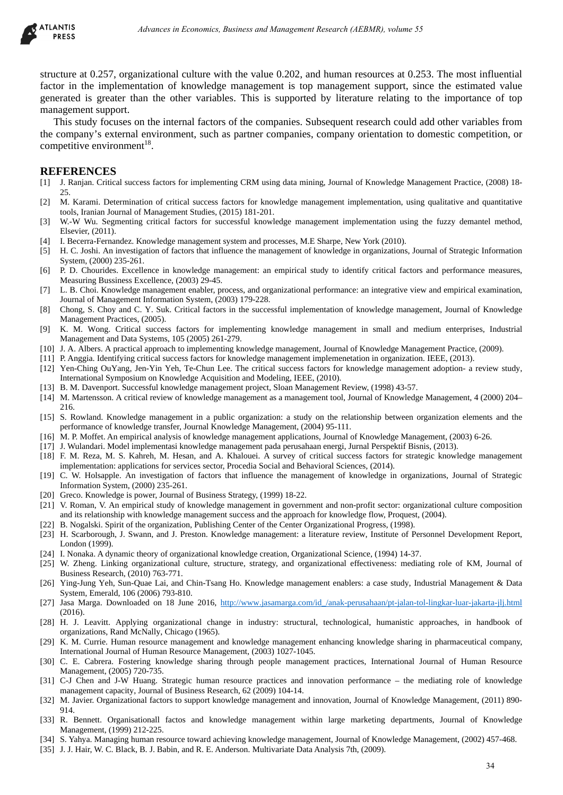

structure at 0.257, organizational culture with the value 0.202, and human resources at 0.253. The most influential factor in the implementation of knowledge management is top management support, since the estimated value generated is greater than the other variables. This is supported by literature relating to the importance of top management support. Advances in Economics, Business and Management Research (AEBMR), volume 53<br> **Advances in Eq. (4)**<br> **Advances in the value 0.202, and human resources at 0.253. The most in<br>
Advances with the value 0.202, and human resources** 

This study focuses on the internal factors of the companies. Subsequent research could add other variables from the company's external environment, such as partner companies, company orientation to domestic competition, or competitive environment<sup>18</sup>.

#### **REFERENCES**

- [1] J. Ranjan. Critical success factors for implementing CRM using data mining, Journal of Knowledge Management Practice, (2008) 18- 25.
- [2] M. Karami. Determination of critical success factors for knowledge management implementation, using qualitative and quantitative tools, Iranian Journal of Management Studies, (2015) 181-201.
- [3] W.-W Wu. Segmenting critical factors for successful knowledge management implementation using the fuzzy demantel method, Elsevier, (2011).
- [4] I. Becerra-Fernandez. Knowledge management system and processes, M.E Sharpe, New York (2010).
- [5] H. C. Joshi. An investigation of factors that influence the management of knowledge in organizations, Journal of Strategic Information System, (2000) 235-261.
- [6] P. D. Chourides. Excellence in knowledge management: an empirical study to identify critical factors and performance measures, Measuring Bussiness Excellence, (2003) 29-45.
- [7] L. B. Choi. Knowledge management enabler, process, and organizational performance: an integrative view and empirical examination, Journal of Management Information System, (2003) 179-228.
- [8] Chong, S. Choy and C. Y. Suk. Critical factors in the successful implementation of knowledge management, Journal of Knowledge Management Practices, (2005).
- [9] K. M. Wong. Critical success factors for implementing knowledge management in small and medium enterprises, Industrial Management and Data Systems, 105 (2005) 261-279.
- [10] J. A. Albers. A practical approach to implementing knowledge management, Journal of Knowledge Management Practice, (2009).
- [11] P. Anggia. Identifying critical success factors for knowledge management implemenetation in organization. IEEE, (2013).
- [12] Yen-Ching OuYang, Jen-Yin Yeh, Te-Chun Lee. The critical success factors for knowledge management adoption- a review study, International Symposium on Knowledge Acquisition and Modeling, IEEE, (2010).
- [13] B. M. Davenport. Successful knowledge management project, Sloan Management Review, (1998) 43-57.
- [14] M. Martensson. A critical review of knowledge management as a management tool, Journal of Knowledge Management, 4 (2000) 204– 216.
- [15] S. Rowland. Knowledge management in a public organization: a study on the relationship between organization elements and the performance of knowledge transfer, Journal Knowledge Management, (2004) 95-111.
- [16] M. P. Moffet. An empirical analysis of knowledge management applications, Journal of Knowledge Management, (2003) 6-26.
- [17] J. Wulandari. Model implementasi knowledge management pada perusahaan energi, Jurnal Perspektif Bisnis, (2013).
- [18] F. M. Reza, M. S. Kahreh, M. Hesan, and A. Khalouei. A survey of critical success factors for strategic knowledge management implementation: applications for services sector, Procedia Social and Behavioral Sciences, (2014).
- [19] C. W. Holsapple. An investigation of factors that influence the management of knowledge in organizations, Journal of Strategic Information System, (2000) 235-261.
- [20] Greco. Knowledge is power, Journal of Business Strategy, (1999) 18-22.
- [21] V. Roman, V. An empirical study of knowledge management in government and non-profit sector: organizational culture composition and its relationship with knowledge management success and the approach for knowledge flow, Proquest, (2004).
- [22] B. Nogalski. Spirit of the organization, Publishing Center of the Center Organizational Progress, (1998).
- [23] H. Scarborough, J. Swann, and J. Preston. Knowledge management: a literature review, Institute of Personnel Development Report, London (1999).
- [24] I. Nonaka. A dynamic theory of organizational knowledge creation, Organizational Science, (1994) 14-37.
- [25] W. Zheng. Linking organizational culture, structure, strategy, and organizational effectiveness: mediating role of KM, Journal of Business Research, (2010) 763-771.
- [26] Ying-Jung Yeh, Sun-Quae Lai, and Chin-Tsang Ho. Knowledge management enablers: a case study, Industrial Management & Data System, Emerald, 106 (2006) 793-810.
- [27] Jasa Marga. Downloaded on 18 June 2016, http://www.jasamarga.com/id /anak-perusahaan/pt-jalan-tol-lingkar-luar-jakarta-jlj.html (2016).
- [28] H. J. Leavitt. Applying organizational change in industry: structural, technological, humanistic approaches, in handbook of organizations, Rand McNally, Chicago (1965).
- [29] K. M. Currie. Human resource management and knowledge management enhancing knowledge sharing in pharmaceutical company, International Journal of Human Resource Management, (2003) 1027-1045.
- [30] C. E. Cabrera. Fostering knowledge sharing through people management practices, International Journal of Human Resource Management, (2005) 720-735.
- [31] C-J Chen and J-W Huang. Strategic human resource practices and innovation performance the mediating role of knowledge management capacity, Journal of Business Research, 62 (2009) 104-14.
- [32] M. Javier. Organizational factors to support knowledge management and innovation, Journal of Knowledge Management, (2011) 890- 914.
- [33] R. Bennett. Organisationall factos and knowledge management within large marketing departments, Journal of Knowledge Management, (1999) 212-225.
- [34] S. Yahya. Managing human resource toward achieving knowledge management, Journal of Knowledge Management, (2002) 457-468.
- [35] J. J. Hair, W. C. Black, B. J. Babin, and R. E. Anderson. Multivariate Data Analysis 7th, (2009).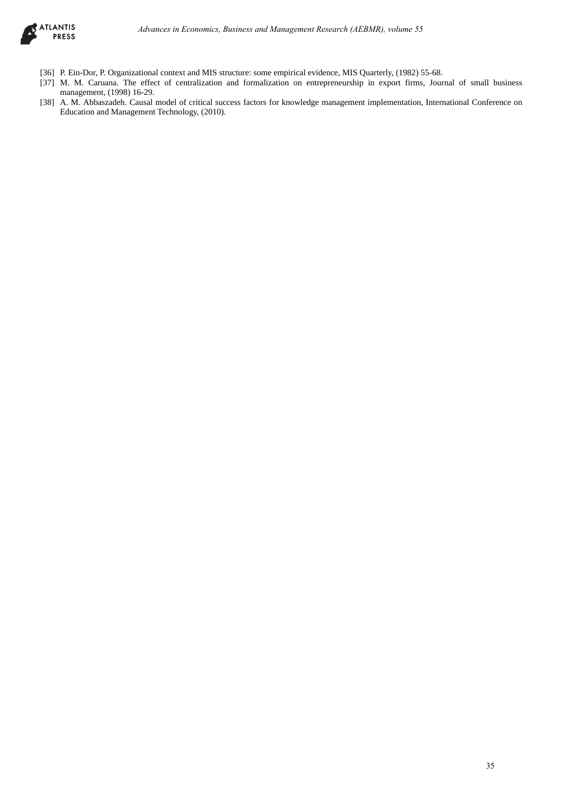

- [36] P. Ein-Dor, P. Organizational context and MIS structure: some empirical evidence, MIS Quarterly, (1982) 55-68.
- [37] M. M. Caruana. The effect of centralization and formalization on entrepreneurship in export firms, Journal of small business management, (1998) 16-29. *Advances in Economics, Business and Management Research (AEBMR), volume 53*<br>
Advances and MIS almentate some empired evidence, MIS Quarterly, (1982), 55 *6*8.<br>
Advances and MIS almentate some empired evidence, MIS Quarter
- [38] A. M. Abbaszadeh. Causal model of critical success factors for knowledge management implementation, International Conference on Education and Management Technology, (2010).